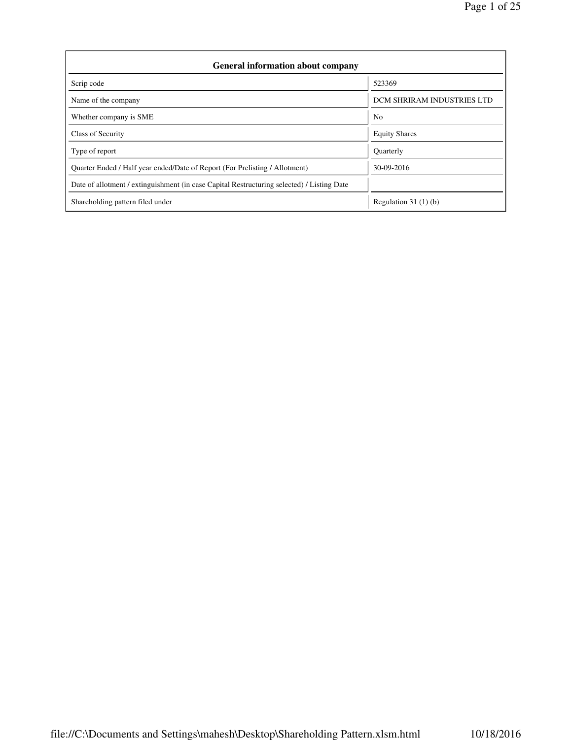| <b>General information about company</b>                                                   |                                   |  |  |  |  |  |
|--------------------------------------------------------------------------------------------|-----------------------------------|--|--|--|--|--|
| Scrip code                                                                                 | 523369                            |  |  |  |  |  |
| Name of the company                                                                        | <b>DCM SHRIRAM INDUSTRIES LTD</b> |  |  |  |  |  |
| Whether company is SME                                                                     | N <sub>o</sub>                    |  |  |  |  |  |
| Class of Security                                                                          | <b>Equity Shares</b>              |  |  |  |  |  |
| Type of report                                                                             | <b>Ouarterly</b>                  |  |  |  |  |  |
| Quarter Ended / Half year ended/Date of Report (For Prelisting / Allotment)                | 30-09-2016                        |  |  |  |  |  |
| Date of allotment / extinguishment (in case Capital Restructuring selected) / Listing Date |                                   |  |  |  |  |  |
| Shareholding pattern filed under                                                           | Regulation $31(1)(b)$             |  |  |  |  |  |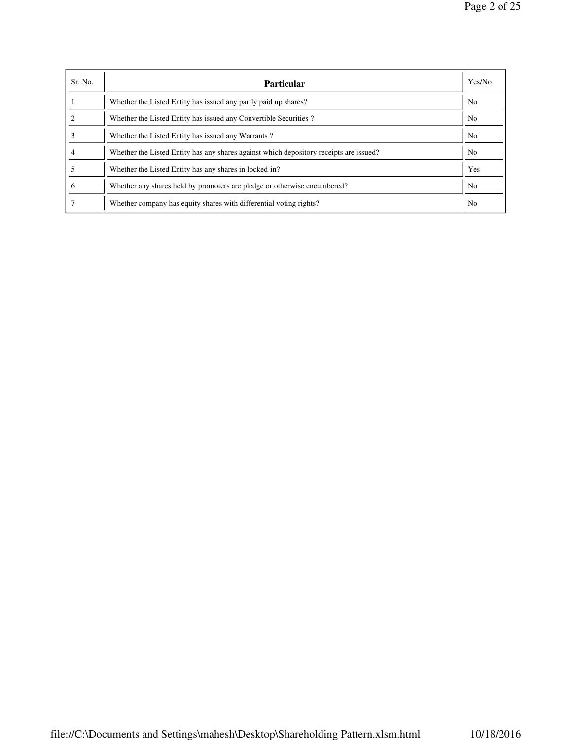| Sr. No.      | <b>Particular</b>                                                                      | Yes/No         |
|--------------|----------------------------------------------------------------------------------------|----------------|
|              | Whether the Listed Entity has issued any partly paid up shares?                        | N <sub>o</sub> |
|              | Whether the Listed Entity has issued any Convertible Securities?                       | N <sub>o</sub> |
|              | Whether the Listed Entity has issued any Warrants?                                     | N <sub>o</sub> |
|              | Whether the Listed Entity has any shares against which depository receipts are issued? | N <sub>o</sub> |
|              | Whether the Listed Entity has any shares in locked-in?                                 | Yes            |
| <sub>t</sub> | Whether any shares held by promoters are pledge or otherwise encumbered?               | N <sub>o</sub> |
|              | Whether company has equity shares with differential voting rights?                     | N <sub>0</sub> |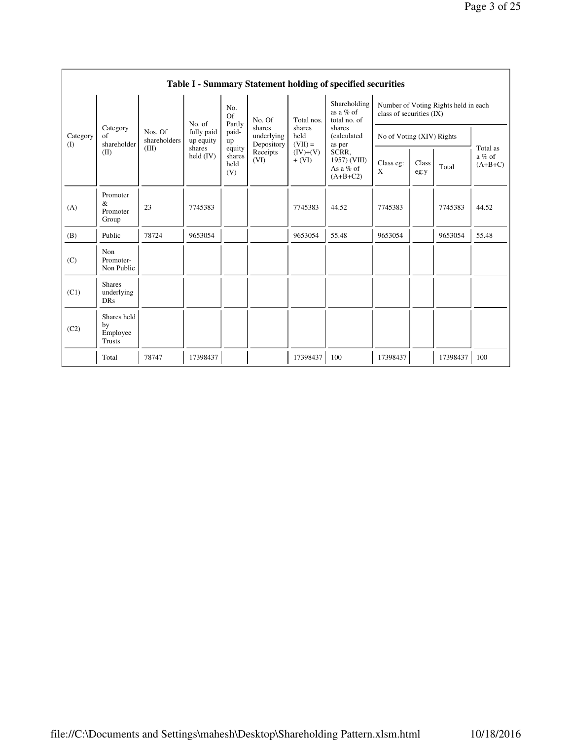|                 |                                           |                         |                         |                                 |                                    |                             | <b>Table I - Summary Statement holding of specified securities</b> |                           |               |                                      |                                   |
|-----------------|-------------------------------------------|-------------------------|-------------------------|---------------------------------|------------------------------------|-----------------------------|--------------------------------------------------------------------|---------------------------|---------------|--------------------------------------|-----------------------------------|
|                 |                                           |                         | No. of                  | No.<br>Of                       | No. Of                             | Total nos.                  | Shareholding<br>as a $%$ of<br>total no. of                        | class of securities (IX)  |               | Number of Voting Rights held in each |                                   |
| Category<br>(I) | Category<br>of<br>shareholder             | Nos. Of<br>shareholders | fully paid<br>up equity | Partly<br>paid-<br>up           | shares<br>underlying<br>Depository | shares<br>held<br>$(VII) =$ | shares<br>(calculated<br>as per                                    | No of Voting (XIV) Rights |               |                                      |                                   |
|                 | (II)                                      | (III)                   | shares<br>held $(IV)$   | equity<br>shares<br>held<br>(V) | Receipts<br>(VI)                   | $(IV)+(V)$<br>$+ (VI)$      | SCRR.<br>1957) (VIII)<br>As a $%$ of<br>$(A+B+C2)$                 | Class eg:<br>X            | Class<br>eg:y | Total                                | Total as<br>$a\%$ of<br>$(A+B+C)$ |
| (A)             | Promoter<br>&<br>Promoter<br>Group        | 23                      | 7745383                 |                                 |                                    | 7745383                     | 44.52                                                              | 7745383                   |               | 7745383                              | 44.52                             |
| (B)             | Public                                    | 78724                   | 9653054                 |                                 |                                    | 9653054                     | 55.48                                                              | 9653054                   |               | 9653054                              | 55.48                             |
| (C)             | Non<br>Promoter-<br>Non Public            |                         |                         |                                 |                                    |                             |                                                                    |                           |               |                                      |                                   |
| (C1)            | <b>Shares</b><br>underlying<br><b>DRs</b> |                         |                         |                                 |                                    |                             |                                                                    |                           |               |                                      |                                   |
| (C2)            | Shares held<br>by<br>Employee<br>Trusts   |                         |                         |                                 |                                    |                             |                                                                    |                           |               |                                      |                                   |
|                 | Total                                     | 78747                   | 17398437                |                                 |                                    | 17398437                    | 100                                                                | 17398437                  |               | 17398437                             | 100                               |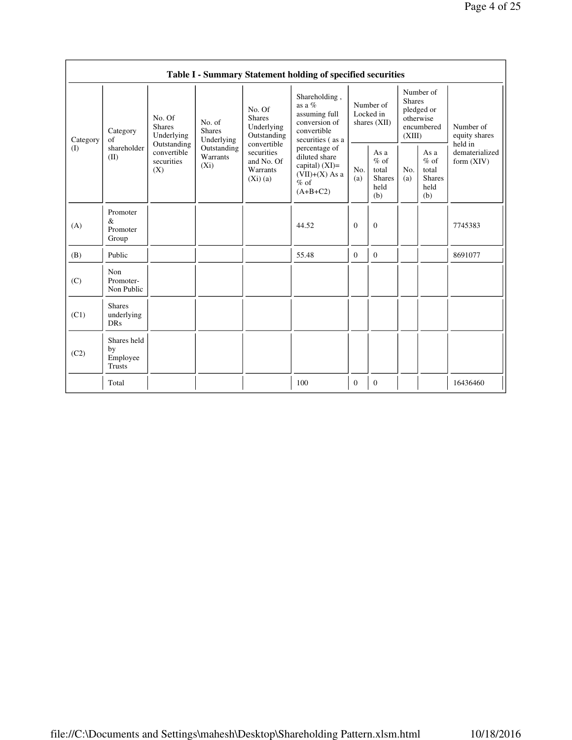|          |                                                |                                                 |                                       |                                                                | Table I - Summary Statement holding of specified securities                                     |              |                                                         |                         |                                                         |                                           |
|----------|------------------------------------------------|-------------------------------------------------|---------------------------------------|----------------------------------------------------------------|-------------------------------------------------------------------------------------------------|--------------|---------------------------------------------------------|-------------------------|---------------------------------------------------------|-------------------------------------------|
| Category | Category<br>$\sigma$ f                         | No. Of<br><b>Shares</b><br>Underlying           | No. of<br><b>Shares</b><br>Underlying | No. Of<br><b>Shares</b><br>Underlying<br>Outstanding           | Shareholding,<br>as a $%$<br>assuming full<br>conversion of<br>convertible<br>securities (as a  |              | Number of<br>Locked in<br>shares $(XII)$                | <b>Shares</b><br>(XIII) | Number of<br>pledged or<br>otherwise<br>encumbered      | Number of<br>equity shares                |
| (I)      | shareholder<br>(II)                            | Outstanding<br>convertible<br>securities<br>(X) | Outstanding<br>Warrants<br>$(X_i)$    | convertible<br>securities<br>and No. Of<br>Warrants<br>(Xi)(a) | percentage of<br>diluted share<br>capital) $(XI)$ =<br>$(VII)+(X)$ As a<br>$%$ of<br>$(A+B+C2)$ | No.<br>(a)   | As a<br>$%$ of<br>total<br><b>Shares</b><br>held<br>(b) | No.<br>(a)              | As a<br>$%$ of<br>total<br><b>Shares</b><br>held<br>(b) | held in<br>dematerialized<br>form $(XIV)$ |
| (A)      | Promoter<br>&<br>Promoter<br>Group             |                                                 |                                       |                                                                | 44.52                                                                                           | $\theta$     | $\Omega$                                                |                         |                                                         | 7745383                                   |
| (B)      | Public                                         |                                                 |                                       |                                                                | 55.48                                                                                           | $\mathbf{0}$ | $\overline{0}$                                          |                         |                                                         | 8691077                                   |
| (C)      | Non<br>Promoter-<br>Non Public                 |                                                 |                                       |                                                                |                                                                                                 |              |                                                         |                         |                                                         |                                           |
| (C1)     | <b>Shares</b><br>underlying<br><b>DRs</b>      |                                                 |                                       |                                                                |                                                                                                 |              |                                                         |                         |                                                         |                                           |
| (C2)     | Shares held<br>by<br>Employee<br><b>Trusts</b> |                                                 |                                       |                                                                |                                                                                                 |              |                                                         |                         |                                                         |                                           |
|          | Total                                          |                                                 |                                       |                                                                | 100                                                                                             | $\mathbf{0}$ | $\mathbf{0}$                                            |                         |                                                         | 16436460                                  |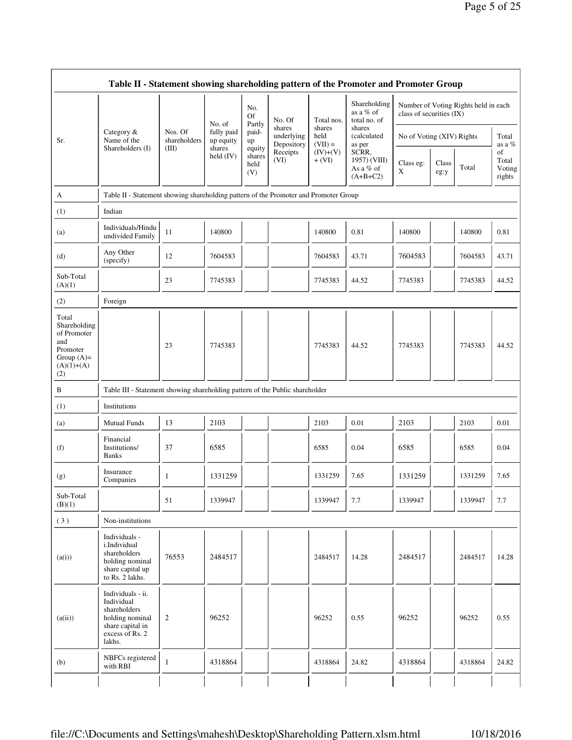|                                                                                                | Table II - Statement showing shareholding pattern of the Promoter and Promoter Group                                |                         |                         |                                 |                                    |                             |                                                  |                           |               |                                      |                                 |
|------------------------------------------------------------------------------------------------|---------------------------------------------------------------------------------------------------------------------|-------------------------|-------------------------|---------------------------------|------------------------------------|-----------------------------|--------------------------------------------------|---------------------------|---------------|--------------------------------------|---------------------------------|
|                                                                                                |                                                                                                                     |                         | No. of                  | No.<br>Of<br>Partly             | No. Of                             | Total nos.                  | Shareholding<br>as a % of<br>total no. of        | class of securities (IX)  |               | Number of Voting Rights held in each |                                 |
| Sr.                                                                                            | Category &<br>Name of the                                                                                           | Nos. Of<br>shareholders | fully paid<br>up equity | paid-<br>up                     | shares<br>underlying<br>Depository | shares<br>held<br>$(VII) =$ | shares<br>(calculated<br>as per                  | No of Voting (XIV) Rights |               |                                      | Total<br>as a %                 |
|                                                                                                | Shareholders (I)                                                                                                    | (III)                   | shares<br>held $(IV)$   | equity<br>shares<br>held<br>(V) | Receipts<br>(VI)                   | $(IV)+(V)$<br>$+ (VI)$      | SCRR,<br>1957) (VIII)<br>As a % of<br>$(A+B+C2)$ | Class eg:<br>X            | Class<br>eg:y | Total                                | of<br>Total<br>Voting<br>rights |
| A                                                                                              | Table II - Statement showing shareholding pattern of the Promoter and Promoter Group                                |                         |                         |                                 |                                    |                             |                                                  |                           |               |                                      |                                 |
| (1)                                                                                            | Indian                                                                                                              |                         |                         |                                 |                                    |                             |                                                  |                           |               |                                      |                                 |
| (a)                                                                                            | Individuals/Hindu<br>undivided Family                                                                               | 11                      | 140800                  |                                 |                                    | 140800                      | 0.81                                             | 140800                    |               | 140800                               | 0.81                            |
| (d)                                                                                            | Any Other<br>(specify)                                                                                              | 12                      | 7604583                 |                                 |                                    | 7604583                     | 43.71                                            | 7604583                   |               | 7604583                              | 43.71                           |
| Sub-Total<br>(A)(1)                                                                            |                                                                                                                     | 23                      | 7745383                 |                                 |                                    | 7745383                     | 44.52                                            | 7745383                   |               | 7745383                              | 44.52                           |
| (2)                                                                                            | Foreign                                                                                                             |                         |                         |                                 |                                    |                             |                                                  |                           |               |                                      |                                 |
| Total<br>Shareholding<br>of Promoter<br>and<br>Promoter<br>Group $(A)=$<br>$(A)(1)+(A)$<br>(2) |                                                                                                                     | 23                      | 7745383                 |                                 |                                    | 7745383                     | 44.52                                            | 7745383                   |               | 7745383                              | 44.52                           |
| $\, {\bf B}$                                                                                   | Table III - Statement showing shareholding pattern of the Public shareholder                                        |                         |                         |                                 |                                    |                             |                                                  |                           |               |                                      |                                 |
| (1)                                                                                            | Institutions                                                                                                        |                         |                         |                                 |                                    |                             |                                                  |                           |               |                                      |                                 |
| (a)                                                                                            | <b>Mutual Funds</b>                                                                                                 | 13                      | 2103                    |                                 |                                    | 2103                        | 0.01                                             | 2103                      |               | 2103                                 | 0.01                            |
| (f)                                                                                            | Financial<br>Institutions/<br><b>Banks</b>                                                                          | 37                      | 6585                    |                                 |                                    | 6585                        | 0.04                                             | 6585                      |               | 6585                                 | 0.04                            |
| (g)                                                                                            | Insurance<br>Companies                                                                                              | 1                       | 1331259                 |                                 |                                    | 1331259                     | 7.65                                             | 1331259                   |               | 1331259                              | 7.65                            |
| Sub-Total<br>(B)(1)                                                                            |                                                                                                                     | 51                      | 1339947                 |                                 |                                    | 1339947                     | 7.7                                              | 1339947                   | -1            | 1339947                              | 7.7                             |
| (3)                                                                                            | Non-institutions                                                                                                    |                         |                         |                                 |                                    |                             |                                                  |                           |               |                                      |                                 |
| (a(i))                                                                                         | Individuals -<br>i.Individual<br>shareholders<br>holding nominal<br>share capital up<br>to Rs. 2 lakhs.             | 76553                   | 2484517                 |                                 |                                    | 2484517                     | 14.28                                            | 2484517                   |               | 2484517                              | 14.28                           |
| (a(ii))                                                                                        | Individuals - ii.<br>Individual<br>shareholders<br>holding nominal<br>share capital in<br>excess of Rs. 2<br>lakhs. | $\overline{c}$          | 96252                   |                                 |                                    | 96252                       | 0.55                                             | 96252                     |               | 96252                                | 0.55                            |
| (b)                                                                                            | NBFCs registered<br>with RBI                                                                                        | $\mathbf{1}$            | 4318864                 |                                 |                                    | 4318864                     | 24.82                                            | 4318864                   |               | 4318864                              | 24.82                           |
|                                                                                                |                                                                                                                     |                         |                         |                                 |                                    |                             |                                                  |                           |               |                                      |                                 |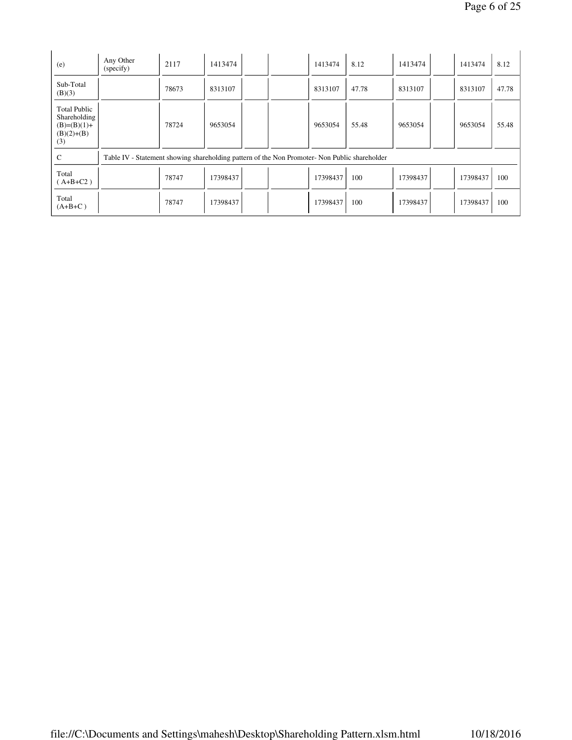| (e)                                                                         | Any Other<br>(specify)                                                                        | 2117  | 1413474  |  | 1413474  | 8.12  | 1413474  | 1413474  | 8.12  |
|-----------------------------------------------------------------------------|-----------------------------------------------------------------------------------------------|-------|----------|--|----------|-------|----------|----------|-------|
| Sub-Total<br>(B)(3)                                                         |                                                                                               | 78673 | 8313107  |  | 8313107  | 47.78 | 8313107  | 8313107  | 47.78 |
| <b>Total Public</b><br>Shareholding<br>$(B)=(B)(1)+$<br>$(B)(2)+(B)$<br>(3) |                                                                                               | 78724 | 9653054  |  | 9653054  | 55.48 | 9653054  | 9653054  | 55.48 |
| C                                                                           | Table IV - Statement showing shareholding pattern of the Non Promoter- Non Public shareholder |       |          |  |          |       |          |          |       |
| Total<br>$(A+B+C2)$                                                         |                                                                                               | 78747 | 17398437 |  | 17398437 | 100   | 17398437 | 17398437 | 100   |
| Total<br>$(A+B+C)$                                                          |                                                                                               | 78747 | 17398437 |  | 17398437 | 100   | 17398437 | 17398437 | 100   |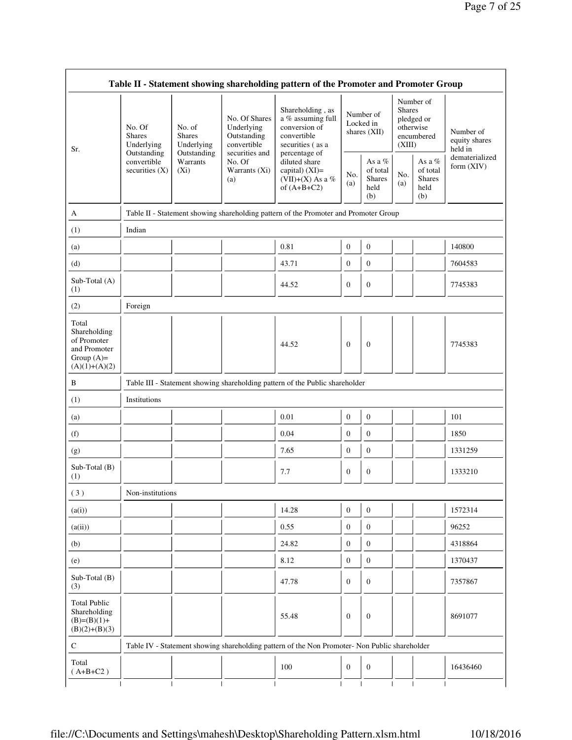|                                                                                         |                                                |                                                      |                                                                             | Table II - Statement showing shareholding pattern of the Promoter and Promoter Group          |                  |                                                    |                         |                                                    |                                       |
|-----------------------------------------------------------------------------------------|------------------------------------------------|------------------------------------------------------|-----------------------------------------------------------------------------|-----------------------------------------------------------------------------------------------|------------------|----------------------------------------------------|-------------------------|----------------------------------------------------|---------------------------------------|
| Sr.                                                                                     | No. Of<br><b>Shares</b><br>Underlying          | No. of<br><b>Shares</b><br>Underlying<br>Outstanding | No. Of Shares<br>Underlying<br>Outstanding<br>convertible<br>securities and | Shareholding, as<br>a % assuming full<br>conversion of<br>convertible<br>securities (as a     |                  | Number of<br>Locked in<br>shares (XII)             | <b>Shares</b><br>(XIII) | Number of<br>pledged or<br>otherwise<br>encumbered | Number of<br>equity shares<br>held in |
|                                                                                         | Outstanding<br>convertible<br>securities $(X)$ | Warrants<br>$(X_i)$                                  | No. Of<br>Warrants (Xi)<br>(a)                                              | percentage of<br>diluted share<br>capital) $(XI)$ =<br>(VII)+(X) As a %<br>of $(A+B+C2)$      | No.<br>(a)       | As a %<br>of total<br><b>Shares</b><br>held<br>(b) | No.<br>(a)              | As a %<br>of total<br><b>Shares</b><br>held<br>(b) | dematerialized<br>form (XIV)          |
| A                                                                                       |                                                |                                                      |                                                                             | Table II - Statement showing shareholding pattern of the Promoter and Promoter Group          |                  |                                                    |                         |                                                    |                                       |
| (1)                                                                                     | Indian                                         |                                                      |                                                                             |                                                                                               |                  |                                                    |                         |                                                    |                                       |
| (a)                                                                                     |                                                |                                                      |                                                                             | 0.81                                                                                          | $\boldsymbol{0}$ | $\boldsymbol{0}$                                   |                         |                                                    | 140800                                |
| (d)                                                                                     |                                                |                                                      |                                                                             | 43.71                                                                                         | $\boldsymbol{0}$ | $\mathbf{0}$                                       |                         |                                                    | 7604583                               |
| Sub-Total (A)<br>(1)                                                                    |                                                |                                                      |                                                                             | 44.52                                                                                         | $\boldsymbol{0}$ | $\mathbf{0}$                                       |                         |                                                    | 7745383                               |
| (2)                                                                                     | Foreign                                        |                                                      |                                                                             |                                                                                               |                  |                                                    |                         |                                                    |                                       |
| Total<br>Shareholding<br>of Promoter<br>and Promoter<br>Group $(A)=$<br>$(A)(1)+(A)(2)$ |                                                |                                                      |                                                                             | 44.52                                                                                         | $\mathbf{0}$     | $\boldsymbol{0}$                                   |                         |                                                    | 7745383                               |
| B                                                                                       |                                                |                                                      |                                                                             | Table III - Statement showing shareholding pattern of the Public shareholder                  |                  |                                                    |                         |                                                    |                                       |
| (1)                                                                                     | Institutions                                   |                                                      |                                                                             |                                                                                               |                  |                                                    |                         |                                                    |                                       |
| (a)                                                                                     |                                                |                                                      |                                                                             | 0.01                                                                                          | $\mathbf{0}$     | $\mathbf{0}$                                       |                         |                                                    | 101                                   |
| (f)                                                                                     |                                                |                                                      |                                                                             | 0.04                                                                                          | $\mathbf{0}$     | $\mathbf{0}$                                       |                         |                                                    | 1850                                  |
| (g)                                                                                     |                                                |                                                      |                                                                             | 7.65                                                                                          | $\mathbf{0}$     | $\boldsymbol{0}$                                   |                         |                                                    | 1331259                               |
| Sub-Total (B)<br>(1)                                                                    |                                                |                                                      |                                                                             | 7.7                                                                                           | $\boldsymbol{0}$ | $\boldsymbol{0}$                                   |                         |                                                    | 1333210                               |
| (3)                                                                                     | Non-institutions                               |                                                      |                                                                             |                                                                                               |                  |                                                    |                         |                                                    |                                       |
| (a(i))                                                                                  |                                                |                                                      |                                                                             | 14.28                                                                                         | $\mathbf{0}$     | $\mathbf{0}$                                       |                         |                                                    | 1572314                               |
| (a(ii))                                                                                 |                                                |                                                      |                                                                             | 0.55                                                                                          | $\mathbf{0}$     | $\mathbf{0}$                                       |                         |                                                    | 96252                                 |
| (b)                                                                                     |                                                |                                                      |                                                                             | 24.82                                                                                         | $\boldsymbol{0}$ | $\mathbf{0}$                                       |                         |                                                    | 4318864                               |
| (e)                                                                                     |                                                |                                                      |                                                                             | 8.12                                                                                          | $\boldsymbol{0}$ | $\mathbf{0}$                                       |                         |                                                    | 1370437                               |
| Sub-Total (B)<br>(3)                                                                    |                                                |                                                      |                                                                             | 47.78                                                                                         | $\boldsymbol{0}$ | $\boldsymbol{0}$                                   |                         |                                                    | 7357867                               |
| <b>Total Public</b><br>Shareholding<br>$(B)=(B)(1)+$<br>$(B)(2)+(B)(3)$                 |                                                |                                                      |                                                                             | 55.48                                                                                         | $\mathbf{0}$     | $\mathbf{0}$                                       |                         |                                                    | 8691077                               |
| C                                                                                       |                                                |                                                      |                                                                             | Table IV - Statement showing shareholding pattern of the Non Promoter- Non Public shareholder |                  |                                                    |                         |                                                    |                                       |
| Total<br>$(A+B+C2)$                                                                     |                                                |                                                      |                                                                             | 100                                                                                           | $\mathbf{0}$     | $\mathbf{0}$                                       |                         |                                                    | 16436460                              |
|                                                                                         |                                                |                                                      |                                                                             |                                                                                               |                  |                                                    |                         |                                                    |                                       |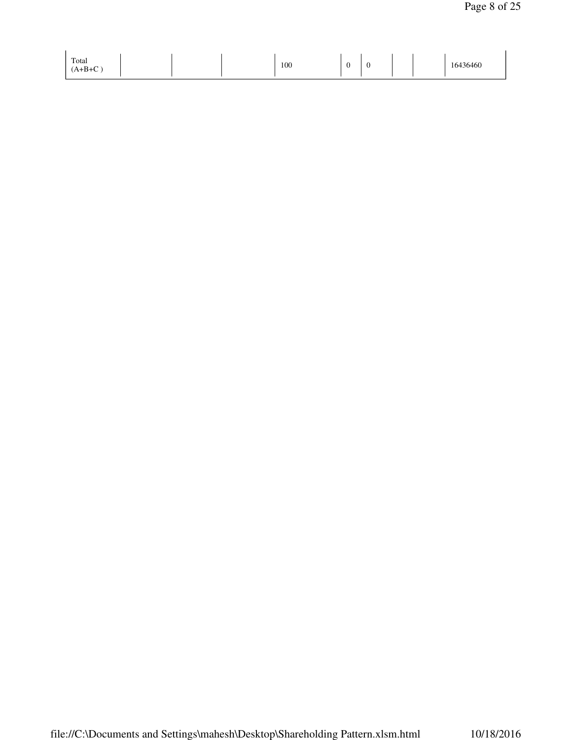| Total<br>$(A+B+C)$ |  | 100 | ◡ | v |  | 16436460<br>-- -- - - - - |
|--------------------|--|-----|---|---|--|---------------------------|
|                    |  |     |   |   |  |                           |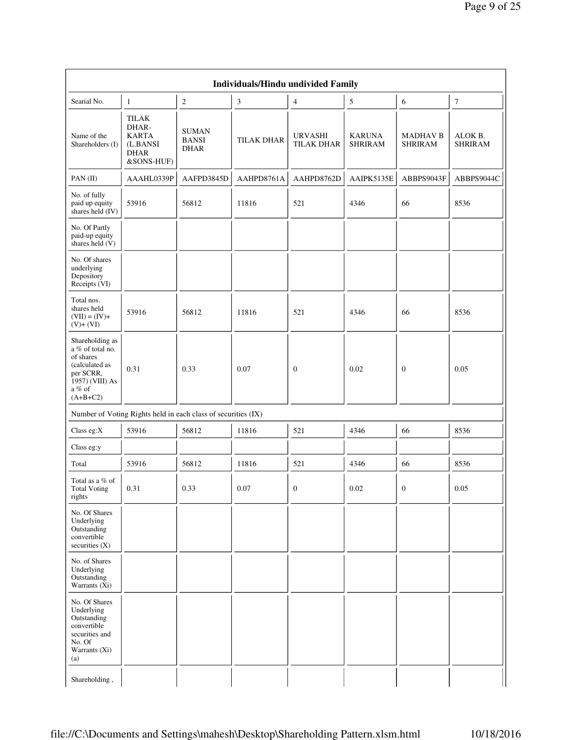| Searial No.                                                                                                                | 1                                                                       | $\mathfrak{2}$                                                | 3                 | $\overline{4}$               | 5                        | 6                                 | $\boldsymbol{7}$          |
|----------------------------------------------------------------------------------------------------------------------------|-------------------------------------------------------------------------|---------------------------------------------------------------|-------------------|------------------------------|--------------------------|-----------------------------------|---------------------------|
| Name of the<br>Shareholders (I)                                                                                            | TILAK<br>DHAR-<br><b>KARTA</b><br>(L.BANSI<br><b>DHAR</b><br>&SONS-HUF) | <b>SUMAN</b><br><b>BANSI</b><br><b>DHAR</b>                   | <b>TILAK DHAR</b> | URVASHI<br><b>TILAK DHAR</b> | KARUNA<br><b>SHRIRAM</b> | <b>MADHAV B</b><br><b>SHRIRAM</b> | ALOK B.<br><b>SHRIRAM</b> |
| PAN(II)                                                                                                                    | AAAHL0339P                                                              | AAFPD3845D                                                    | AAHPD8761A        | AAHPD8762D                   | AAIPK5135E               | ABBPS9043F                        | ABBPS9044C                |
| No. of fully<br>paid up equity<br>shares held (IV)                                                                         | 53916                                                                   | 56812                                                         | 11816             | 521                          | 4346                     | 66                                | 8536                      |
| No. Of Partly<br>paid-up equity<br>shares held $(V)$                                                                       |                                                                         |                                                               |                   |                              |                          |                                   |                           |
| No. Of shares<br>underlying<br>Depository<br>Receipts (VI)                                                                 |                                                                         |                                                               |                   |                              |                          |                                   |                           |
| Total nos.<br>shares held<br>$(VII) = (IV) +$<br>$(V)+(VI)$                                                                | 53916                                                                   | 56812                                                         | 11816             | 521                          | 4346                     | 66                                | 8536                      |
| Shareholding as<br>a % of total no.<br>of shares<br>(calculated as<br>per SCRR,<br>1957) (VIII) As<br>a % of<br>$(A+B+C2)$ | 0.31                                                                    | 0.33                                                          | 0.07              | $\overline{0}$               | 0.02                     | $\mathbf{0}$                      | 0.05                      |
|                                                                                                                            |                                                                         | Number of Voting Rights held in each class of securities (IX) |                   |                              |                          |                                   |                           |
| Class eg:X                                                                                                                 | 53916                                                                   | 56812                                                         | 11816             | 521                          | 4346                     | 66                                | 8536                      |
| Class eg:y                                                                                                                 |                                                                         |                                                               |                   |                              |                          |                                   |                           |
| Total                                                                                                                      | 53916                                                                   | 56812                                                         | 11816             | 521                          | 4346                     | 66                                | 8536                      |
| Total as a % of<br><b>Total Voting</b><br>rights                                                                           | 0.31                                                                    | 0.33                                                          | 0.07              | $\boldsymbol{0}$             | $0.02\,$                 | $\boldsymbol{0}$                  | 0.05                      |
| No. Of Shares<br>Underlying<br>Outstanding<br>convertible<br>securities (X)                                                |                                                                         |                                                               |                   |                              |                          |                                   |                           |
| No. of Shares<br>Underlying<br>Outstanding<br>Warrants (Xi)                                                                |                                                                         |                                                               |                   |                              |                          |                                   |                           |
| No. Of Shares<br>Underlying<br>Outstanding<br>convertible<br>securities and<br>No. Of<br>Warrants (Xi)                     |                                                                         |                                                               |                   |                              |                          |                                   |                           |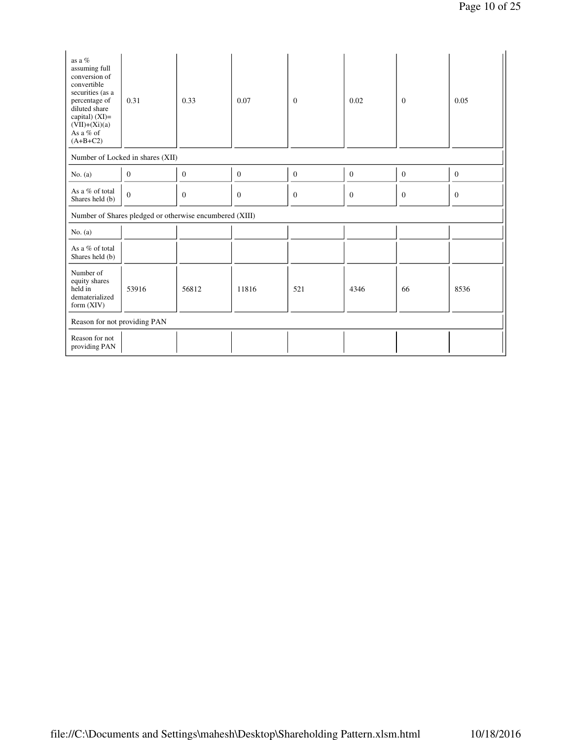| as a %<br>assuming full<br>conversion of<br>convertible<br>securities (as a<br>percentage of<br>diluted share<br>capital) $(XI)$ =<br>$(VII)+(Xi)(a)$<br>As a % of<br>$(A+B+C2)$ | 0.31                                                    | 0.33           | 0.07         | $\Omega$     | 0.02         | $\mathbf{0}$   | 0.05         |
|----------------------------------------------------------------------------------------------------------------------------------------------------------------------------------|---------------------------------------------------------|----------------|--------------|--------------|--------------|----------------|--------------|
|                                                                                                                                                                                  | Number of Locked in shares (XII)                        |                |              |              |              |                |              |
| No. $(a)$                                                                                                                                                                        | $\mathbf{0}$                                            | $\overline{0}$ | $\mathbf{0}$ | $\mathbf{0}$ | $\mathbf{0}$ | $\overline{0}$ | $\mathbf{0}$ |
| As a % of total<br>Shares held (b)                                                                                                                                               | $\overline{0}$                                          | $\mathbf{0}$   | $\mathbf{0}$ | $\mathbf{0}$ | $\mathbf{0}$ | $\mathbf{0}$   | $\mathbf{0}$ |
|                                                                                                                                                                                  | Number of Shares pledged or otherwise encumbered (XIII) |                |              |              |              |                |              |
| No. $(a)$                                                                                                                                                                        |                                                         |                |              |              |              |                |              |
| As a % of total<br>Shares held (b)                                                                                                                                               |                                                         |                |              |              |              |                |              |
| Number of<br>equity shares<br>held in<br>dematerialized<br>form (XIV)                                                                                                            | 53916                                                   | 56812          | 11816        | 521          | 4346         | 66             | 8536         |
| Reason for not providing PAN                                                                                                                                                     |                                                         |                |              |              |              |                |              |
| Reason for not<br>providing PAN                                                                                                                                                  |                                                         |                |              |              |              |                |              |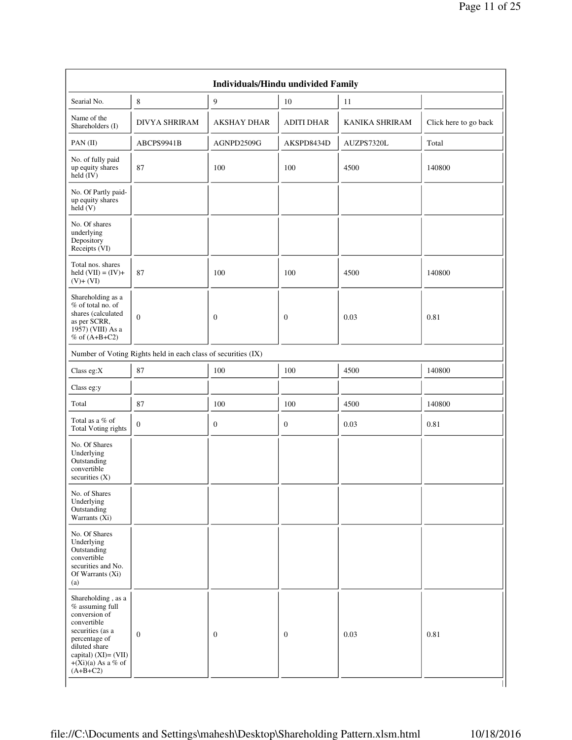| Searial No.                                                                                                                                                                                 | $\,8\,$                                                       | 9                  | 10                | 11             |                       |
|---------------------------------------------------------------------------------------------------------------------------------------------------------------------------------------------|---------------------------------------------------------------|--------------------|-------------------|----------------|-----------------------|
| Name of the<br>Shareholders (I)                                                                                                                                                             | <b>DIVYA SHRIRAM</b>                                          | <b>AKSHAY DHAR</b> | <b>ADITI DHAR</b> | KANIKA SHRIRAM | Click here to go back |
| PAN (II)                                                                                                                                                                                    | ABCPS9941B                                                    | AGNPD2509G         | AKSPD8434D        | AUZPS7320L     | Total                 |
| No. of fully paid<br>up equity shares<br>$held$ (IV)                                                                                                                                        | 87                                                            | 100                | 100               | 4500           | 140800                |
| No. Of Partly paid-<br>up equity shares<br>$\text{held}(V)$                                                                                                                                 |                                                               |                    |                   |                |                       |
| No. Of shares<br>underlying<br>Depository<br>Receipts (VI)                                                                                                                                  |                                                               |                    |                   |                |                       |
| Total nos. shares<br>held $(VII) = (IV) +$<br>$(V)+(VI)$                                                                                                                                    | 87                                                            | 100                | 100               | 4500           | 140800                |
| Shareholding as a<br>% of total no. of<br>shares (calculated<br>as per SCRR,<br>1957) (VIII) As a<br>% of $(A+B+C2)$                                                                        | $\mathbf{0}$                                                  | $\overline{0}$     | $\overline{0}$    | 0.03           | 0.81                  |
|                                                                                                                                                                                             | Number of Voting Rights held in each class of securities (IX) |                    |                   |                |                       |
| Class eg:X                                                                                                                                                                                  | 87                                                            | 100                | 100               | 4500           | 140800                |
| Class eg:y                                                                                                                                                                                  |                                                               |                    |                   |                |                       |
| Total                                                                                                                                                                                       | 87                                                            | 100                | 100               | 4500           | 140800                |
| Total as a $\%$ of<br>Total Voting rights                                                                                                                                                   | $\boldsymbol{0}$                                              | $\boldsymbol{0}$   | $\boldsymbol{0}$  | 0.03           | 0.81                  |
| No. Of Shares<br>Underlying<br>Outstanding<br>convertible<br>securities $(X)$                                                                                                               |                                                               |                    |                   |                |                       |
| No. of Shares<br>Underlying<br>Outstanding<br>Warrants (Xi)                                                                                                                                 |                                                               |                    |                   |                |                       |
| No. Of Shares<br>Underlying<br>Outstanding<br>convertible<br>securities and No.<br>Of Warrants (Xi)<br>(a)                                                                                  |                                                               |                    |                   |                |                       |
| Shareholding, as a<br>$%$ assuming full<br>conversion of<br>convertible<br>securities (as a<br>percentage of<br>diluted share<br>capital) (XI)= (VII)<br>$+(Xi)(a)$ As a % of<br>$(A+B+C2)$ | $\mathbf{0}$                                                  | $\mathbf{0}$       | $\mathbf{0}$      | 0.03           | 0.81                  |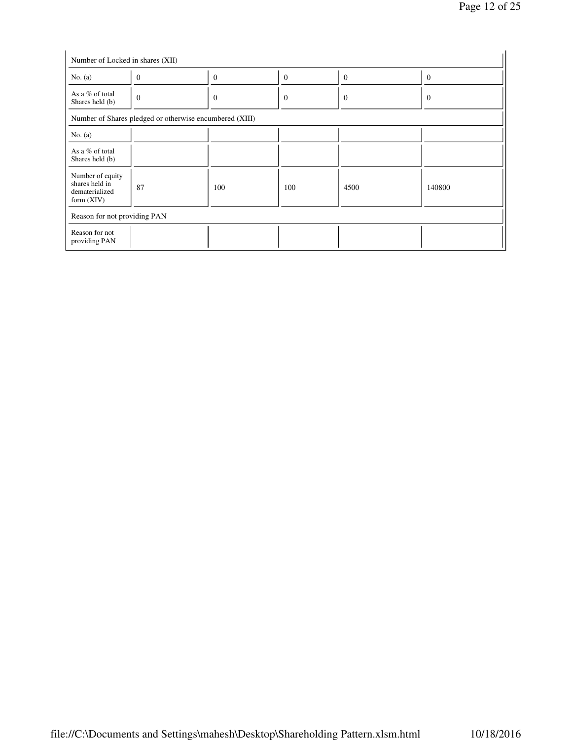| No. $(a)$                                                            | $\overline{0}$ | $\Omega$                                                | $\Omega$         | $\Omega$ | $\overline{0}$ |
|----------------------------------------------------------------------|----------------|---------------------------------------------------------|------------------|----------|----------------|
| As a % of total<br>Shares held (b)                                   | $\overline{0}$ | $\theta$                                                | $\boldsymbol{0}$ | $\theta$ | $\theta$       |
|                                                                      |                | Number of Shares pledged or otherwise encumbered (XIII) |                  |          |                |
| No. $(a)$                                                            |                |                                                         |                  |          |                |
| As a % of total<br>Shares held (b)                                   |                |                                                         |                  |          |                |
| Number of equity<br>shares held in<br>dematerialized<br>form $(XIV)$ | 87             | 100                                                     | 100              | 4500     | 140800         |
| Reason for not providing PAN                                         |                |                                                         |                  |          |                |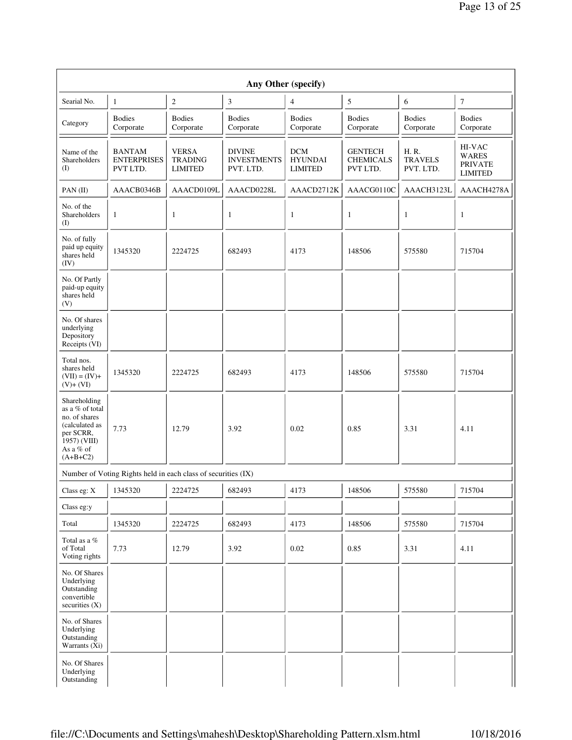| Any Other (specify)                                                                                                        |                                                               |                                                  |                                                  |                                                |                                                |                                     |                                                            |  |
|----------------------------------------------------------------------------------------------------------------------------|---------------------------------------------------------------|--------------------------------------------------|--------------------------------------------------|------------------------------------------------|------------------------------------------------|-------------------------------------|------------------------------------------------------------|--|
| Searial No.                                                                                                                | 1                                                             | $\overline{\mathbf{c}}$                          | $\mathfrak z$                                    | 4                                              | 5                                              | 6                                   | $\boldsymbol{7}$                                           |  |
| Category                                                                                                                   | <b>Bodies</b><br>Corporate                                    | <b>Bodies</b><br>Corporate                       | <b>Bodies</b><br>Corporate                       | <b>Bodies</b><br>Corporate                     | <b>Bodies</b><br>Corporate                     | <b>Bodies</b><br>Corporate          | <b>Bodies</b><br>Corporate                                 |  |
| Name of the<br>Shareholders<br>(I)                                                                                         | <b>BANTAM</b><br><b>ENTERPRISES</b><br>PVT LTD.               | <b>VERSA</b><br><b>TRADING</b><br><b>LIMITED</b> | <b>DIVINE</b><br><b>INVESTMENTS</b><br>PVT. LTD. | <b>DCM</b><br><b>HYUNDAI</b><br><b>LIMITED</b> | <b>GENTECH</b><br><b>CHEMICALS</b><br>PVT LTD. | H.R.<br><b>TRAVELS</b><br>PVT. LTD. | HI-VAC<br><b>WARES</b><br><b>PRIVATE</b><br><b>LIMITED</b> |  |
| PAN(II)                                                                                                                    | AAACB0346B                                                    | AAACD0109L                                       | AAACD0228L                                       | AAACD2712K                                     | AAACG0110C                                     | AAACH3123L                          | AAACH4278A                                                 |  |
| No. of the<br>Shareholders<br>$\rm(D)$                                                                                     | 1                                                             | 1                                                | $\mathbf{1}$                                     | $\mathbf{1}$                                   | $\mathbf{1}$                                   | $\mathbf{1}$                        | $\mathbf{1}$                                               |  |
| No. of fully<br>paid up equity<br>shares held<br>(IV)                                                                      | 1345320                                                       | 2224725                                          | 682493                                           | 4173                                           | 148506                                         | 575580                              | 715704                                                     |  |
| No. Of Partly<br>paid-up equity<br>shares held<br>(V)                                                                      |                                                               |                                                  |                                                  |                                                |                                                |                                     |                                                            |  |
| No. Of shares<br>underlying<br>Depository<br>Receipts (VI)                                                                 |                                                               |                                                  |                                                  |                                                |                                                |                                     |                                                            |  |
| Total nos.<br>shares held<br>$(VII) = (IV) +$<br>$(V)+(VI)$                                                                | 1345320                                                       | 2224725                                          | 682493                                           | 4173                                           | 148506                                         | 575580                              | 715704                                                     |  |
| Shareholding<br>as a % of total<br>no. of shares<br>(calculated as<br>per SCRR,<br>1957) (VIII)<br>As a % of<br>$(A+B+C2)$ | 7.73                                                          | 12.79                                            | 3.92                                             | 0.02                                           | 0.85                                           | 3.31                                | 4.11                                                       |  |
|                                                                                                                            | Number of Voting Rights held in each class of securities (IX) |                                                  |                                                  |                                                |                                                |                                     |                                                            |  |
| Class eg: X                                                                                                                | 1345320                                                       | 2224725                                          | $\mathbf{I}$<br>682493                           | $\mathbf{I}$<br>4173                           | $\mathbf{I}$<br>148506                         | $\overline{\phantom{a}}$<br>575580  | 715704                                                     |  |
| Class eg:y                                                                                                                 |                                                               |                                                  |                                                  |                                                |                                                |                                     |                                                            |  |
| Total                                                                                                                      | 1345320                                                       | 2224725                                          | 682493                                           | 4173                                           | 148506                                         | 575580                              | 715704                                                     |  |
| Total as a %<br>of Total<br>Voting rights                                                                                  | 7.73                                                          | 12.79                                            | 3.92                                             | 0.02                                           | 0.85                                           | 3.31                                | 4.11                                                       |  |
| No. Of Shares<br>Underlying<br>Outstanding<br>convertible<br>securities $(X)$                                              |                                                               |                                                  |                                                  |                                                |                                                |                                     |                                                            |  |
| No. of Shares<br>Underlying<br>Outstanding<br>Warrants (Xi)                                                                |                                                               |                                                  |                                                  |                                                |                                                |                                     |                                                            |  |
| No. Of Shares<br>Underlying<br>Outstanding                                                                                 |                                                               |                                                  |                                                  |                                                |                                                |                                     |                                                            |  |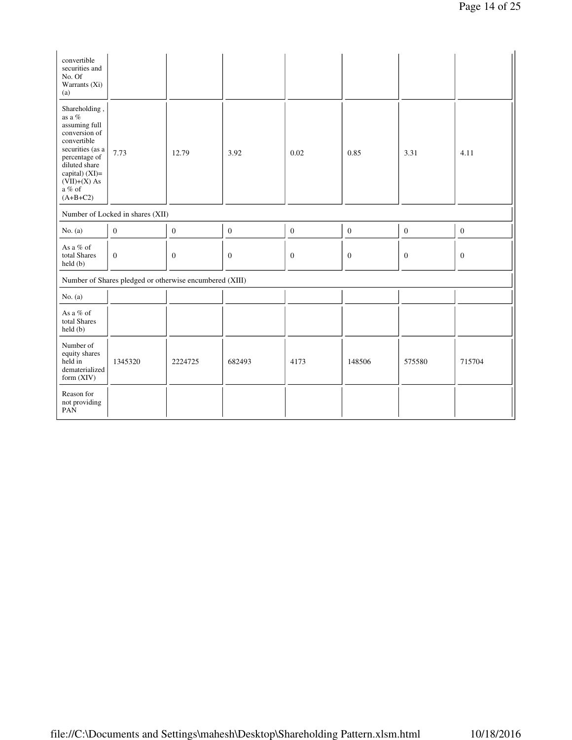| convertible<br>securities and<br>No. Of<br>Warrants (Xi)<br>(a)                                                                                                                                 |                                                         |                  |                  |                  |                  |                  |                  |
|-------------------------------------------------------------------------------------------------------------------------------------------------------------------------------------------------|---------------------------------------------------------|------------------|------------------|------------------|------------------|------------------|------------------|
| Shareholding,<br>as a $\%$<br>assuming full<br>conversion of<br>convertible<br>securities (as a<br>percentage of<br>diluted share<br>capital) (XI)=<br>$(VII)+(X)$ As<br>a $%$ of<br>$(A+B+C2)$ | 7.73                                                    | 12.79            | 3.92             | 0.02             | 0.85             | 3.31             | 4.11             |
|                                                                                                                                                                                                 | Number of Locked in shares (XII)                        |                  |                  |                  |                  |                  |                  |
| No. $(a)$                                                                                                                                                                                       | $\boldsymbol{0}$                                        | $\boldsymbol{0}$ | $\boldsymbol{0}$ | $\boldsymbol{0}$ | $\boldsymbol{0}$ | $\boldsymbol{0}$ | $\boldsymbol{0}$ |
| As a % of<br>total Shares<br>held(b)                                                                                                                                                            | $\boldsymbol{0}$                                        | $\mathbf{0}$     | $\boldsymbol{0}$ | $\boldsymbol{0}$ | $\mathbf{0}$     | $\mathbf{0}$     | $\mathbf{0}$     |
|                                                                                                                                                                                                 | Number of Shares pledged or otherwise encumbered (XIII) |                  |                  |                  |                  |                  |                  |
| No. $(a)$                                                                                                                                                                                       |                                                         |                  |                  |                  |                  |                  |                  |
| As a % of<br>total Shares<br>held(b)                                                                                                                                                            |                                                         |                  |                  |                  |                  |                  |                  |
| Number of<br>equity shares<br>held in<br>dematerialized<br>form $(XIV)$                                                                                                                         | 1345320                                                 | 2224725          | 682493           | 4173             | 148506           | 575580           | 715704           |
| Reason for<br>not providing<br>PAN                                                                                                                                                              |                                                         |                  |                  |                  |                  |                  |                  |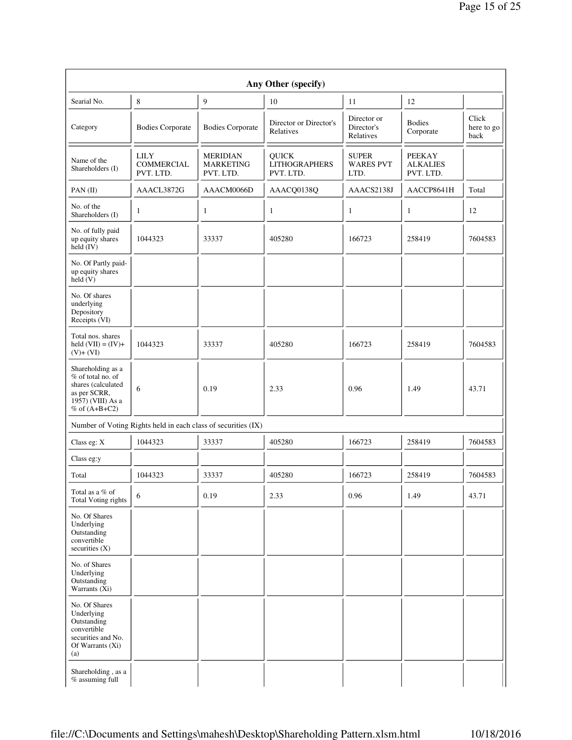|                                                                                                                        | Any Other (specify)                                           |                                                  |                                                   |                                          |                                               |                             |  |  |  |
|------------------------------------------------------------------------------------------------------------------------|---------------------------------------------------------------|--------------------------------------------------|---------------------------------------------------|------------------------------------------|-----------------------------------------------|-----------------------------|--|--|--|
| Searial No.                                                                                                            | 8                                                             | 9                                                | 10                                                | 11                                       | 12                                            |                             |  |  |  |
| Category                                                                                                               | <b>Bodies Corporate</b>                                       | <b>Bodies Corporate</b>                          | Director or Director's<br>Relatives               | Director or<br>Director's<br>Relatives   | <b>Bodies</b><br>Corporate                    | Click<br>here to go<br>back |  |  |  |
| Name of the<br>Shareholders (I)                                                                                        | <b>LILY</b><br><b>COMMERCIAL</b><br>PVT. LTD.                 | <b>MERIDIAN</b><br><b>MARKETING</b><br>PVT. LTD. | <b>QUICK</b><br><b>LITHOGRAPHERS</b><br>PVT. LTD. | <b>SUPER</b><br><b>WARES PVT</b><br>LTD. | <b>PEEKAY</b><br><b>ALKALIES</b><br>PVT. LTD. |                             |  |  |  |
| PAN (II)                                                                                                               | AAACL3872G                                                    | AAACM0066D                                       | AAACQ0138Q                                        | AAACS2138J                               | AACCP8641H                                    | Total                       |  |  |  |
| No. of the<br>Shareholders (I)                                                                                         | 1                                                             | 1                                                | 1                                                 | $\mathbf{1}$                             | $\mathbf{1}$                                  | 12                          |  |  |  |
| No. of fully paid<br>up equity shares<br>held (IV)                                                                     | 1044323                                                       | 33337                                            | 405280                                            | 166723                                   | 258419                                        | 7604583                     |  |  |  |
| No. Of Partly paid-<br>up equity shares<br>held (V)                                                                    |                                                               |                                                  |                                                   |                                          |                                               |                             |  |  |  |
| No. Of shares<br>underlying<br>Depository<br>Receipts (VI)                                                             |                                                               |                                                  |                                                   |                                          |                                               |                             |  |  |  |
| Total nos. shares<br>held $(VII) = (IV) +$<br>$(V)+(VI)$                                                               | 1044323                                                       | 33337                                            | 405280                                            | 166723                                   | 258419                                        | 7604583                     |  |  |  |
| Shareholding as a<br>% of total no. of<br>shares (calculated<br>as per SCRR,<br>1957) (VIII) As a<br>$%$ of $(A+B+C2)$ | 6                                                             | 0.19                                             | 2.33                                              | 0.96                                     | 1.49                                          | 43.71                       |  |  |  |
|                                                                                                                        | Number of Voting Rights held in each class of securities (IX) |                                                  |                                                   |                                          |                                               |                             |  |  |  |
| Class eg: $X$                                                                                                          | 1044323                                                       | 33337                                            | 405280                                            | 166723                                   | 258419                                        | 7604583                     |  |  |  |
| Class eg:y                                                                                                             |                                                               |                                                  |                                                   |                                          |                                               |                             |  |  |  |
| Total                                                                                                                  | 1044323                                                       | 33337                                            | 405280                                            | 166723                                   | 258419                                        | 7604583                     |  |  |  |
| Total as a $\%$ of<br>Total Voting rights                                                                              | 6                                                             | 0.19                                             | 2.33                                              | 0.96                                     | 1.49                                          | 43.71                       |  |  |  |
| No. Of Shares<br>Underlying<br>Outstanding<br>convertible<br>securities $(X)$                                          |                                                               |                                                  |                                                   |                                          |                                               |                             |  |  |  |
| No. of Shares<br>Underlying<br>Outstanding<br>Warrants (Xi)                                                            |                                                               |                                                  |                                                   |                                          |                                               |                             |  |  |  |
| No. Of Shares<br>Underlying<br>Outstanding<br>convertible<br>securities and No.<br>Of Warrants (Xi)<br>(a)             |                                                               |                                                  |                                                   |                                          |                                               |                             |  |  |  |
| Shareholding, as a<br>% assuming full                                                                                  |                                                               |                                                  |                                                   |                                          |                                               |                             |  |  |  |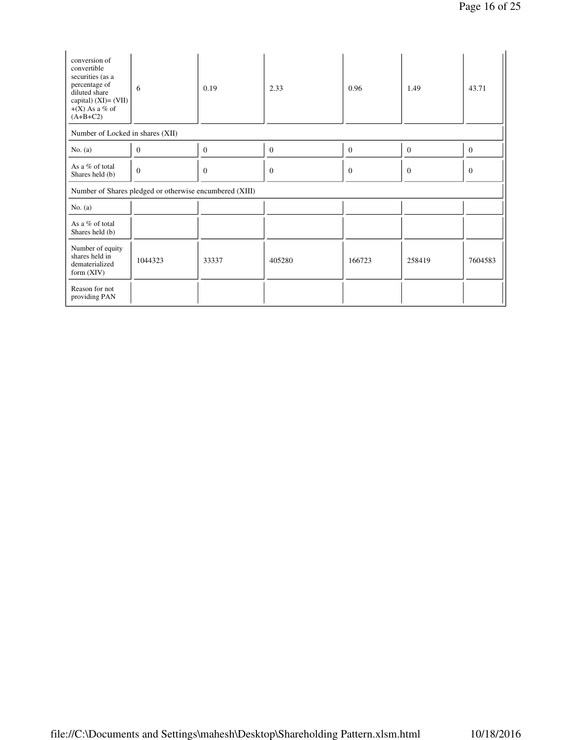| conversion of<br>convertible<br>securities (as a<br>percentage of<br>diluted share<br>capital) $(XI) = (VII)$<br>$+(X)$ As a % of<br>$(A+B+C2)$ | 6                                                       | 0.19     | 2.33         | 0.96         | 1.49         | 43.71        |
|-------------------------------------------------------------------------------------------------------------------------------------------------|---------------------------------------------------------|----------|--------------|--------------|--------------|--------------|
| Number of Locked in shares (XII)                                                                                                                |                                                         |          |              |              |              |              |
| No. $(a)$                                                                                                                                       | $\overline{0}$                                          | $\Omega$ | $\mathbf{0}$ | $\mathbf{0}$ | $\mathbf{0}$ | $\mathbf{0}$ |
| As a % of total<br>Shares held (b)                                                                                                              | $\overline{0}$                                          | $\theta$ | $\mathbf{0}$ | $\theta$     | $\Omega$     | $\Omega$     |
|                                                                                                                                                 | Number of Shares pledged or otherwise encumbered (XIII) |          |              |              |              |              |
| No. $(a)$                                                                                                                                       |                                                         |          |              |              |              |              |
| As a % of total<br>Shares held (b)                                                                                                              |                                                         |          |              |              |              |              |
| Number of equity<br>shares held in<br>dematerialized<br>form $(XIV)$                                                                            | 1044323                                                 | 33337    | 405280       | 166723       | 258419       | 7604583      |
| Reason for not<br>providing PAN                                                                                                                 |                                                         |          |              |              |              |              |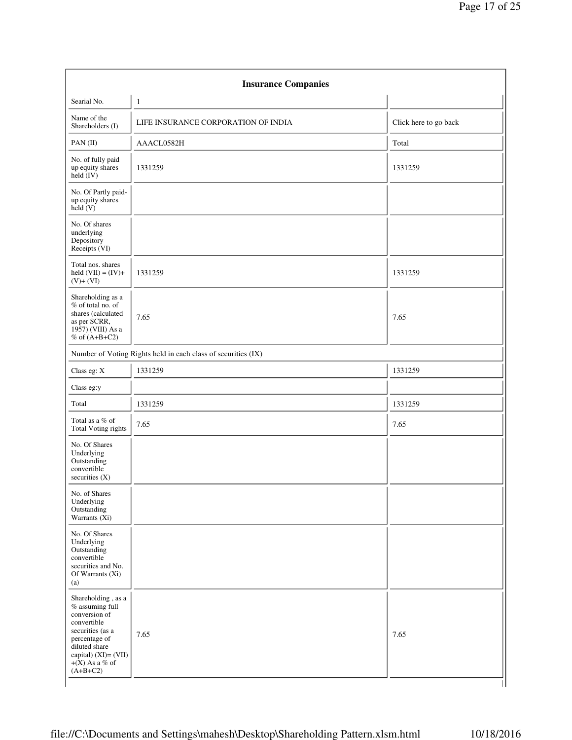|                                                                                                                                                                                            | <b>Insurance Companies</b>                                    |                       |
|--------------------------------------------------------------------------------------------------------------------------------------------------------------------------------------------|---------------------------------------------------------------|-----------------------|
| Searial No.                                                                                                                                                                                | 1                                                             |                       |
| Name of the<br>Shareholders (I)                                                                                                                                                            | LIFE INSURANCE CORPORATION OF INDIA                           | Click here to go back |
| PAN (II)                                                                                                                                                                                   | AAACL0582H                                                    | Total                 |
| No. of fully paid<br>up equity shares<br>held (IV)                                                                                                                                         | 1331259                                                       | 1331259               |
| No. Of Partly paid-<br>up equity shares<br>$\text{held}(V)$                                                                                                                                |                                                               |                       |
| No. Of shares<br>underlying<br>Depository<br>Receipts (VI)                                                                                                                                 |                                                               |                       |
| Total nos. shares<br>held $(VII) = (IV) +$<br>$(V)+(VI)$                                                                                                                                   | 1331259                                                       | 1331259               |
| Shareholding as a<br>% of total no. of<br>shares (calculated<br>as per SCRR,<br>$19\overline{57}$ ) (VIII) As a<br>$%$ of $(A+B+C2)$                                                       | 7.65                                                          | 7.65                  |
|                                                                                                                                                                                            | Number of Voting Rights held in each class of securities (IX) |                       |
| Class eg: X                                                                                                                                                                                | 1331259                                                       | 1331259               |
| Class eg:y                                                                                                                                                                                 |                                                               |                       |
| Total                                                                                                                                                                                      | 1331259                                                       | 1331259               |
| Total as a $\%$ of<br>Total Voting rights                                                                                                                                                  | 7.65                                                          | 7.65                  |
| No. Of Shares<br>Underlying<br>Outstanding<br>convertible<br>securities (X)                                                                                                                |                                                               |                       |
| No. of Shares<br>Underlying<br>Outstanding<br>Warrants (Xi)                                                                                                                                |                                                               |                       |
| No. Of Shares<br>Underlying<br>Outstanding<br>convertible<br>securities and No.<br>Of Warrants (Xi)<br>(a)                                                                                 |                                                               |                       |
| Shareholding, as a<br>$%$ assuming full<br>conversion of<br>convertible<br>securities (as a<br>percentage of<br>diluted share<br>capital) $(XI) = (VII)$<br>$+(X)$ As a % of<br>$(A+B+C2)$ | 7.65                                                          | 7.65                  |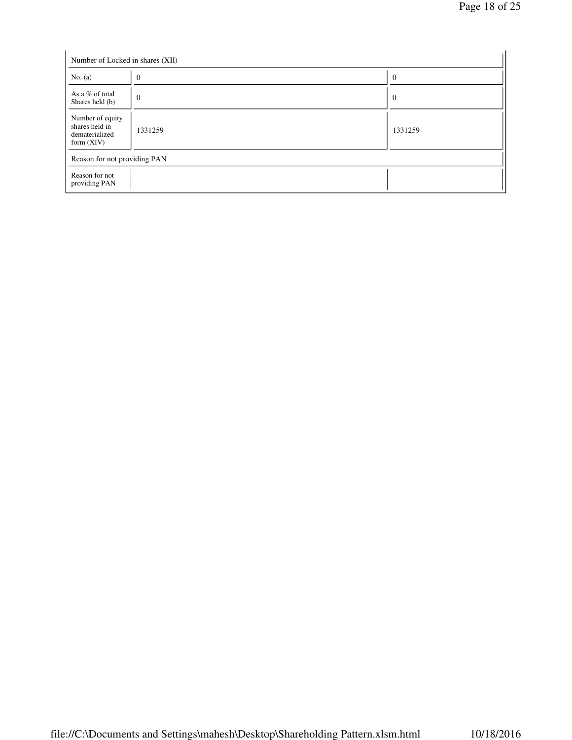| Number of Locked in shares (XII)                                     |                |                |  |  |  |  |
|----------------------------------------------------------------------|----------------|----------------|--|--|--|--|
| No. $(a)$                                                            | $\overline{0}$ | $\overline{0}$ |  |  |  |  |
| As a % of total<br>Shares held (b)                                   | $\overline{0}$ | $\overline{0}$ |  |  |  |  |
| Number of equity<br>shares held in<br>dematerialized<br>form $(XIV)$ | 1331259        | 1331259        |  |  |  |  |
| Reason for not providing PAN                                         |                |                |  |  |  |  |
| Reason for not<br>providing PAN                                      |                |                |  |  |  |  |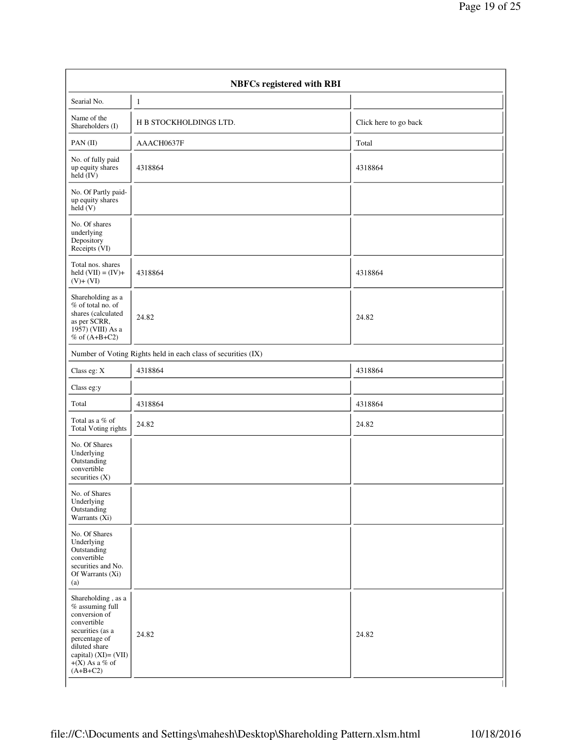| <b>NBFCs registered with RBI</b>                                                                                                                                                           |                                                               |                       |  |  |  |  |
|--------------------------------------------------------------------------------------------------------------------------------------------------------------------------------------------|---------------------------------------------------------------|-----------------------|--|--|--|--|
| Searial No.                                                                                                                                                                                | $\mathbf{1}$                                                  |                       |  |  |  |  |
| Name of the<br>Shareholders (I)                                                                                                                                                            | H B STOCKHOLDINGS LTD.                                        | Click here to go back |  |  |  |  |
| PAN (II)                                                                                                                                                                                   | AAACH0637F                                                    | Total                 |  |  |  |  |
| No. of fully paid<br>up equity shares<br>$\text{held}(\text{IV})$                                                                                                                          | 4318864                                                       | 4318864               |  |  |  |  |
| No. Of Partly paid-<br>up equity shares<br>$\text{held}(V)$                                                                                                                                |                                                               |                       |  |  |  |  |
| No. Of shares<br>underlying<br>Depository<br>Receipts (VI)                                                                                                                                 |                                                               |                       |  |  |  |  |
| Total nos. shares<br>held $(VII) = (IV) +$<br>$(V)+(VI)$                                                                                                                                   | 4318864                                                       | 4318864               |  |  |  |  |
| Shareholding as a<br>$%$ of total no. of<br>shares (calculated<br>as per SCRR,<br>1957) (VIII) As a<br>% of $(A+B+C2)$                                                                     | 24.82                                                         | 24.82                 |  |  |  |  |
|                                                                                                                                                                                            | Number of Voting Rights held in each class of securities (IX) |                       |  |  |  |  |
| Class eg: X                                                                                                                                                                                | 4318864                                                       | 4318864               |  |  |  |  |
| Class eg:y                                                                                                                                                                                 |                                                               |                       |  |  |  |  |
| Total                                                                                                                                                                                      | 4318864                                                       | 4318864               |  |  |  |  |
| Total as a % of<br><b>Total Voting rights</b>                                                                                                                                              | 24.82                                                         | 24.82                 |  |  |  |  |
| No. Of Shares<br>Underlying<br>Outstanding<br>convertible<br>securities $(X)$                                                                                                              |                                                               |                       |  |  |  |  |
| No. of Shares<br>Underlying<br>Outstanding<br>Warrants $(X_i)$                                                                                                                             |                                                               |                       |  |  |  |  |
| No. Of Shares<br>Underlying<br>Outstanding<br>convertible<br>securities and No.<br>Of Warrants (Xi)<br>(a)                                                                                 |                                                               |                       |  |  |  |  |
| Shareholding, as a<br>$%$ assuming full<br>conversion of<br>convertible<br>securities (as a<br>percentage of<br>diluted share<br>capital) $(XI) = (VII)$<br>$+(X)$ As a % of<br>$(A+B+C2)$ | 24.82                                                         | 24.82                 |  |  |  |  |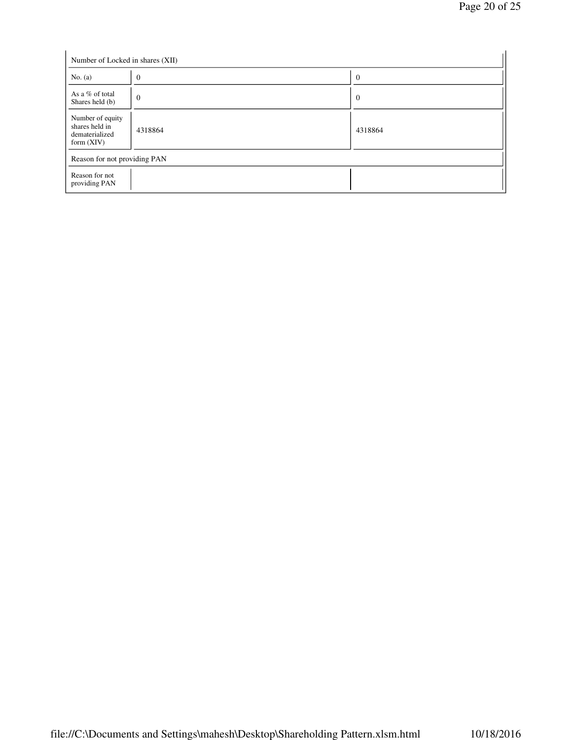| Number of Locked in shares (XII)                                     | $\overline{0}$ | $\overline{0}$ |
|----------------------------------------------------------------------|----------------|----------------|
| No. $(a)$                                                            |                |                |
| As a % of total<br>Shares held (b)                                   | $\overline{0}$ | $\overline{0}$ |
| Number of equity<br>shares held in<br>dematerialized<br>form $(XIV)$ | 4318864        | 4318864        |
| Reason for not providing PAN                                         |                |                |
| Reason for not<br>providing PAN                                      |                |                |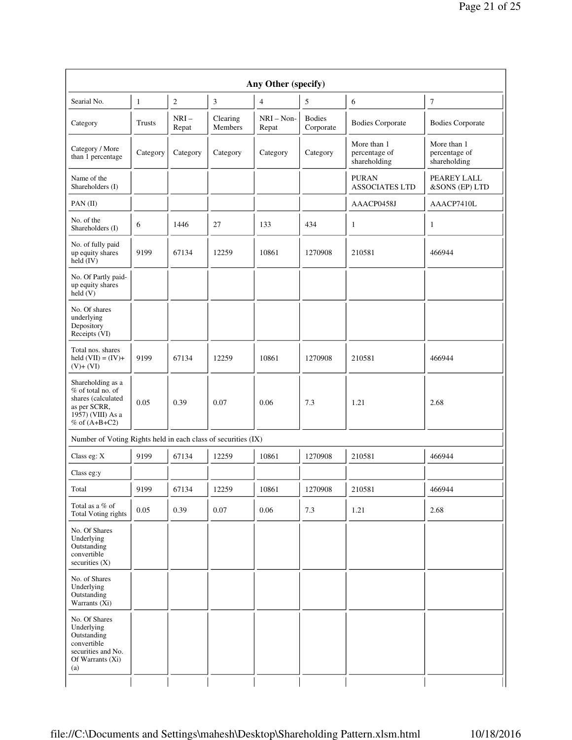|                                                                                                                      |               |                 |                     | Any Other (specify)   |                            |                                              |                                              |
|----------------------------------------------------------------------------------------------------------------------|---------------|-----------------|---------------------|-----------------------|----------------------------|----------------------------------------------|----------------------------------------------|
| Searial No.                                                                                                          | $\mathbf{1}$  | $\sqrt{2}$      | 3                   | 4                     | 5                          | 6                                            | $\tau$                                       |
| Category                                                                                                             | <b>Trusts</b> | $NRI-$<br>Repat | Clearing<br>Members | $NRI - Non-$<br>Repat | <b>Bodies</b><br>Corporate | <b>Bodies Corporate</b>                      | <b>Bodies Corporate</b>                      |
| Category / More<br>than 1 percentage                                                                                 | Category      | Category        | Category            | Category              | Category                   | More than 1<br>percentage of<br>shareholding | More than 1<br>percentage of<br>shareholding |
| Name of the<br>Shareholders (I)                                                                                      |               |                 |                     |                       |                            | <b>PURAN</b><br><b>ASSOCIATES LTD</b>        | PEAREY LALL<br>&SONS (EP) LTD                |
| PAN(II)                                                                                                              |               |                 |                     |                       |                            | AAACP0458J                                   | AAACP7410L                                   |
| No. of the<br>Shareholders (I)                                                                                       | 6             | 1446            | 27                  | 133                   | 434                        | $\mathbf{1}$                                 | $\mathbf{1}$                                 |
| No. of fully paid<br>up equity shares<br>$held$ (IV)                                                                 | 9199          | 67134           | 12259               | 10861                 | 1270908                    | 210581                                       | 466944                                       |
| No. Of Partly paid-<br>up equity shares<br>held $(V)$                                                                |               |                 |                     |                       |                            |                                              |                                              |
| No. Of shares<br>underlying<br>Depository<br>Receipts (VI)                                                           |               |                 |                     |                       |                            |                                              |                                              |
| Total nos. shares<br>held $(VII) = (IV) +$<br>$(V)+(VI)$                                                             | 9199          | 67134           | 12259               | 10861                 | 1270908                    | 210581                                       | 466944                                       |
| Shareholding as a<br>% of total no. of<br>shares (calculated<br>as per SCRR,<br>1957) (VIII) As a<br>% of $(A+B+C2)$ | 0.05          | 0.39            | 0.07                | 0.06                  | 7.3                        | 1.21                                         | 2.68                                         |
| Number of Voting Rights held in each class of securities (IX)                                                        |               |                 |                     |                       |                            |                                              |                                              |
| Class eg: $X$                                                                                                        | 9199          | 67134           | 12259               | 10861                 | 1270908                    | 210581                                       | 466944                                       |
| Class eg:y                                                                                                           |               |                 |                     |                       |                            |                                              |                                              |
| Total                                                                                                                | 9199          | 67134           | 12259               | 10861                 | 1270908                    | 210581                                       | 466944                                       |
| Total as a % of<br>Total Voting rights                                                                               | 0.05          | 0.39            | 0.07                | 0.06                  | 7.3                        | 1.21                                         | 2.68                                         |
| No. Of Shares<br>Underlying<br>Outstanding<br>convertible<br>securities $(X)$                                        |               |                 |                     |                       |                            |                                              |                                              |
| No. of Shares<br>Underlying<br>Outstanding<br>Warrants $(Xi)$                                                        |               |                 |                     |                       |                            |                                              |                                              |
| No. Of Shares<br>Underlying<br>Outstanding<br>convertible<br>securities and No.<br>Of Warrants (Xi)<br>(a)           |               |                 |                     |                       |                            |                                              |                                              |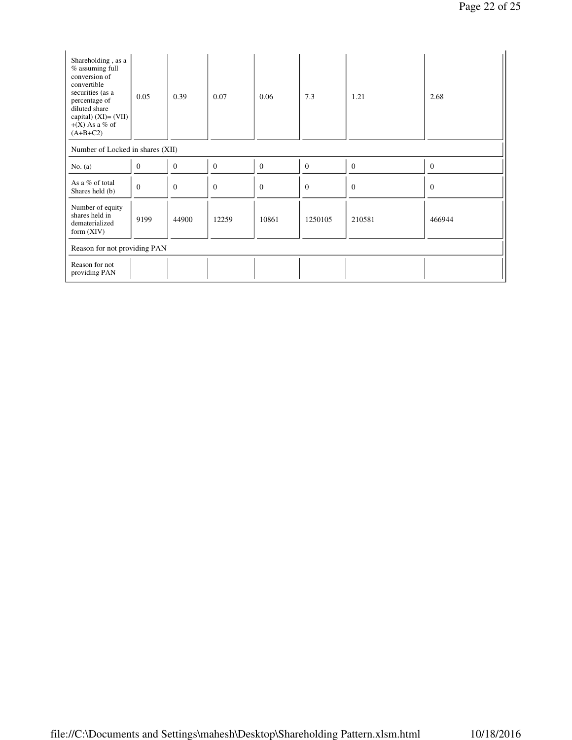| Shareholding, as a<br>% assuming full<br>conversion of<br>convertible<br>securities (as a<br>percentage of<br>diluted share<br>capital) $(XI) = (VII)$<br>$+(X)$ As a % of<br>$(A+B+C2)$ | 0.05         | 0.39             | 0.07         | 0.06         | 7.3          | 1.21     | 2.68         |
|------------------------------------------------------------------------------------------------------------------------------------------------------------------------------------------|--------------|------------------|--------------|--------------|--------------|----------|--------------|
| Number of Locked in shares (XII)                                                                                                                                                         |              |                  |              |              |              |          |              |
| No. $(a)$                                                                                                                                                                                | $\mathbf{0}$ | $\boldsymbol{0}$ | $\mathbf{0}$ | $\mathbf{0}$ | $\mathbf{0}$ | $\theta$ | $\mathbf{0}$ |
| As a % of total<br>Shares held (b)                                                                                                                                                       | $\mathbf{0}$ | $\overline{0}$   | $\mathbf{0}$ | $\mathbf{0}$ | $\Omega$     | $\Omega$ | $\mathbf{0}$ |
| Number of equity<br>shares held in<br>dematerialized<br>form $(XIV)$                                                                                                                     | 9199         | 44900            | 12259        | 10861        | 1250105      | 210581   | 466944       |
| Reason for not providing PAN                                                                                                                                                             |              |                  |              |              |              |          |              |
| Reason for not<br>providing PAN                                                                                                                                                          |              |                  |              |              |              |          |              |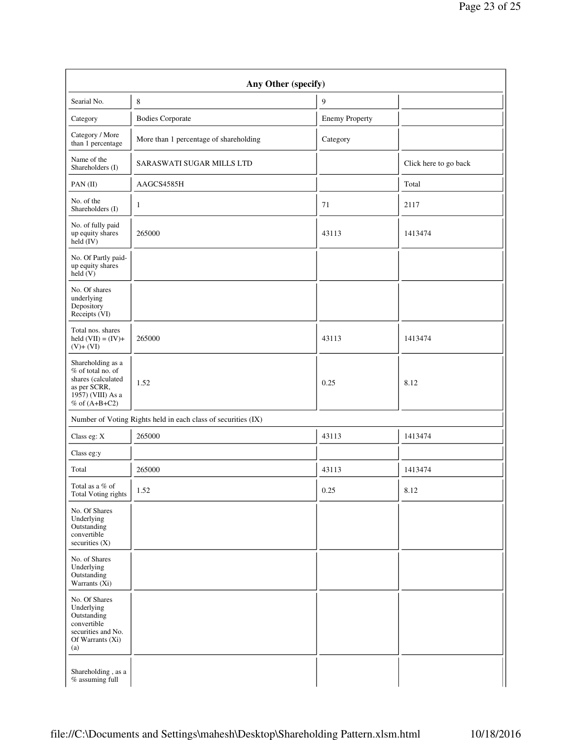|                                                                                                                        | Any Other (specify)                                           |                       |                       |
|------------------------------------------------------------------------------------------------------------------------|---------------------------------------------------------------|-----------------------|-----------------------|
| Searial No.                                                                                                            | $\,$ 8 $\,$                                                   | 9                     |                       |
| Category                                                                                                               | <b>Bodies Corporate</b>                                       | <b>Enemy Property</b> |                       |
| Category / More<br>than 1 percentage                                                                                   | More than 1 percentage of shareholding                        | Category              |                       |
| Name of the<br>Shareholders (I)                                                                                        | <b>SARASWATI SUGAR MILLS LTD</b>                              |                       | Click here to go back |
| PAN(II)                                                                                                                | AAGCS4585H                                                    |                       | Total                 |
| No. of the<br>Shareholders (I)                                                                                         | $\mathbf{1}$                                                  | 71                    | 2117                  |
| No. of fully paid<br>up equity shares<br>$\text{held} (IV)$                                                            | 265000                                                        | 43113                 | 1413474               |
| No. Of Partly paid-<br>up equity shares<br>held(V)                                                                     |                                                               |                       |                       |
| No. Of shares<br>underlying<br>Depository<br>Receipts (VI)                                                             |                                                               |                       |                       |
| Total nos. shares<br>held $(VII) = (IV) +$<br>$(V) + (VI)$                                                             | 265000                                                        | 43113                 | 1413474               |
| Shareholding as a<br>% of total no. of<br>shares (calculated<br>as per SCRR,<br>1957) (VIII) As a<br>$%$ of $(A+B+C2)$ | 1.52                                                          | 0.25                  | 8.12                  |
|                                                                                                                        | Number of Voting Rights held in each class of securities (IX) |                       |                       |
| Class eg: X                                                                                                            | 265000                                                        | 43113                 | 1413474               |
| Class eg:y                                                                                                             |                                                               |                       |                       |
| Total                                                                                                                  | 265000                                                        | 43113                 | 1413474               |
| Total as a % of<br><b>Total Voting rights</b>                                                                          | 1.52                                                          | 0.25                  | 8.12                  |
| No. Of Shares<br>Underlying<br>Outstanding<br>convertible<br>securities (X)                                            |                                                               |                       |                       |
| No. of Shares<br>Underlying<br>Outstanding<br>Warrants (Xi)                                                            |                                                               |                       |                       |
| No. Of Shares<br>Underlying<br>Outstanding<br>convertible<br>securities and No.<br>Of Warrants (Xi)<br>(a)             |                                                               |                       |                       |
| Shareholding, as a<br>% assuming full                                                                                  |                                                               |                       |                       |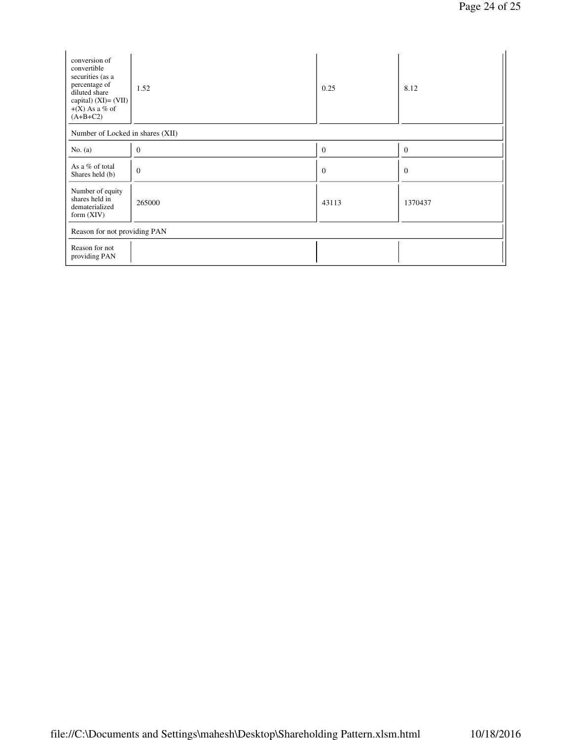| conversion of<br>convertible<br>securities (as a<br>percentage of<br>diluted share<br>capital) $(XI) = (VII)$<br>$+(X)$ As a % of<br>$(A+B+C2)$ | 1.52                             | 0.25           | 8.12           |  |  |  |  |
|-------------------------------------------------------------------------------------------------------------------------------------------------|----------------------------------|----------------|----------------|--|--|--|--|
|                                                                                                                                                 | Number of Locked in shares (XII) |                |                |  |  |  |  |
| No. $(a)$                                                                                                                                       | $\theta$                         | $\mathbf{0}$   | $\overline{0}$ |  |  |  |  |
| As a % of total<br>Shares held (b)                                                                                                              | $\theta$                         | $\overline{0}$ | $\theta$       |  |  |  |  |
| Number of equity<br>shares held in<br>dematerialized<br>form $(XIV)$                                                                            | 265000                           | 43113          | 1370437        |  |  |  |  |
| Reason for not providing PAN                                                                                                                    |                                  |                |                |  |  |  |  |
| Reason for not<br>providing PAN                                                                                                                 |                                  |                |                |  |  |  |  |